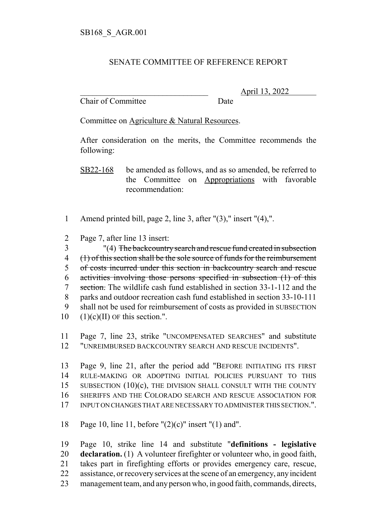## SENATE COMMITTEE OF REFERENCE REPORT

Chair of Committee Date

\_\_\_\_\_\_\_\_\_\_\_\_\_\_\_\_\_\_\_\_\_\_\_\_\_\_\_\_\_\_\_ April 13, 2022

Committee on Agriculture & Natural Resources.

After consideration on the merits, the Committee recommends the following:

SB22-168 be amended as follows, and as so amended, be referred to the Committee on Appropriations with favorable recommendation:

- Amend printed bill, page 2, line 3, after "(3)," insert "(4),".
- Page 7, after line 13 insert:

 "(4) The backcountry search and rescue fund created in subsection (1) of this section shall be the sole source of funds for the reimbursement of costs incurred under this section in backcountry search and rescue activities involving those persons specified in subsection (1) of this 7 section. The wildlife cash fund established in section 33-1-112 and the parks and outdoor recreation cash fund established in section 33-10-111 shall not be used for reimbursement of costs as provided in SUBSECTION  $10 \quad (1)(c)(II)$  OF this section.".

 Page 7, line 23, strike "UNCOMPENSATED SEARCHES" and substitute "UNREIMBURSED BACKCOUNTRY SEARCH AND RESCUE INCIDENTS".

 Page 9, line 21, after the period add "BEFORE INITIATING ITS FIRST RULE-MAKING OR ADOPTING INITIAL POLICIES PURSUANT TO THIS 15 SUBSECTION (10)(c), THE DIVISION SHALL CONSULT WITH THE COUNTY SHERIFFS AND THE COLORADO SEARCH AND RESCUE ASSOCIATION FOR INPUT ON CHANGES THAT ARE NECESSARY TO ADMINISTER THIS SECTION.".

Page 10, line 11, before "(2)(c)" insert "(1) and".

 Page 10, strike line 14 and substitute "**definitions - legislative declaration.** (1) A volunteer firefighter or volunteer who, in good faith, takes part in firefighting efforts or provides emergency care, rescue, assistance, or recovery services at the scene of an emergency, any incident management team, and any person who, in good faith, commands, directs,